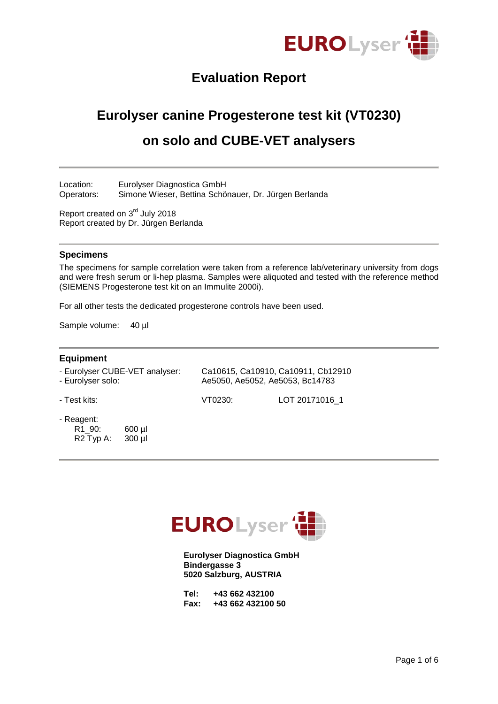

# **Evaluation Report**

# **Eurolyser canine Progesterone test kit (VT0230)**

# **on solo and CUBE-VET analysers**

Location: Eurolyser Diagnostica GmbH Operators: Simone Wieser, Bettina Schönauer, Dr. Jürgen Berlanda

Report created on 3<sup>rd</sup> July 2018 Report created by Dr. Jürgen Berlanda

### **Specimens**

The specimens for sample correlation were taken from a reference lab/veterinary university from dogs and were fresh serum or li-hep plasma. Samples were aliquoted and tested with the reference method (SIEMENS Progesterone test kit on an Immulite 2000i).

For all other tests the dedicated progesterone controls have been used.

Sample volume: 40 µl

### **Equipment**

| - Eurolyser CUBE-VET analyser: | Ca10615, Ca10910, Ca10911, Cb12910 |
|--------------------------------|------------------------------------|
| - Eurolyser solo:              | Ae5050, Ae5052, Ae5053, Bc14783    |

- Test kits: VT0230: LOT 20171016\_1

- Reagent:
	- R1\_90: 600 µl R2 Typ A: 300 µl



**Eurolyser Diagnostica GmbH Bindergasse 3 5020 Salzburg, AUSTRIA**

| Tel: |  | +43 662 432100    |  |
|------|--|-------------------|--|
| Fax: |  | +43 662 432100 50 |  |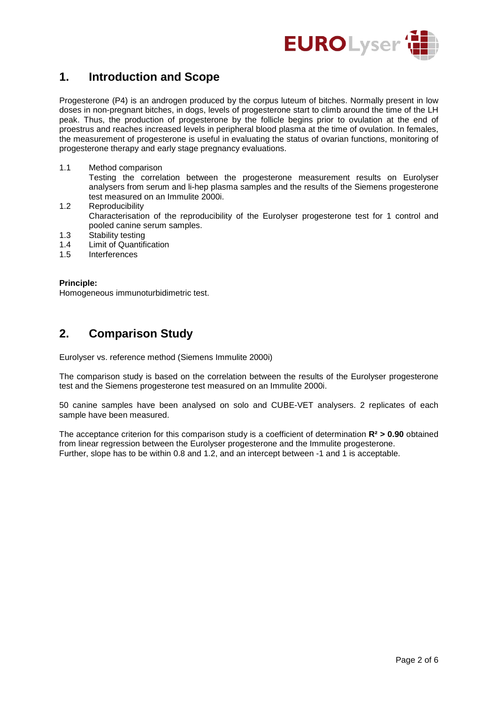

## **1. Introduction and Scope**

Progesterone (P4) is an androgen produced by the corpus luteum of bitches. Normally present in low doses in non-pregnant bitches, in dogs, levels of progesterone start to climb around the time of the LH peak. Thus, the production of progesterone by the follicle begins prior to ovulation at the end of proestrus and reaches increased levels in peripheral blood plasma at the time of ovulation. In females, the measurement of progesterone is useful in evaluating the status of ovarian functions, monitoring of progesterone therapy and early stage pregnancy evaluations.

1.1 Method comparison

Testing the correlation between the progesterone measurement results on Eurolyser analysers from serum and li-hep plasma samples and the results of the Siemens progesterone test measured on an Immulite 2000i.

- 1.2 Reproducibility Characterisation of the reproducibility of the Eurolyser progesterone test for 1 control and pooled canine serum samples.
- 1.3 Stability testing<br>1.4 Limit of Quantifi
- 1.4 Limit of Quantification<br>1.5 Interferences
- **Interferences**

### **Principle:**

Homogeneous immunoturbidimetric test.

### **2. Comparison Study**

Eurolyser vs. reference method (Siemens Immulite 2000i)

The comparison study is based on the correlation between the results of the Eurolyser progesterone test and the Siemens progesterone test measured on an Immulite 2000i.

50 canine samples have been analysed on solo and CUBE-VET analysers. 2 replicates of each sample have been measured.

The acceptance criterion for this comparison study is a coefficient of determination **R² > 0.90** obtained from linear regression between the Eurolyser progesterone and the Immulite progesterone. Further, slope has to be within 0.8 and 1.2, and an intercept between -1 and 1 is acceptable.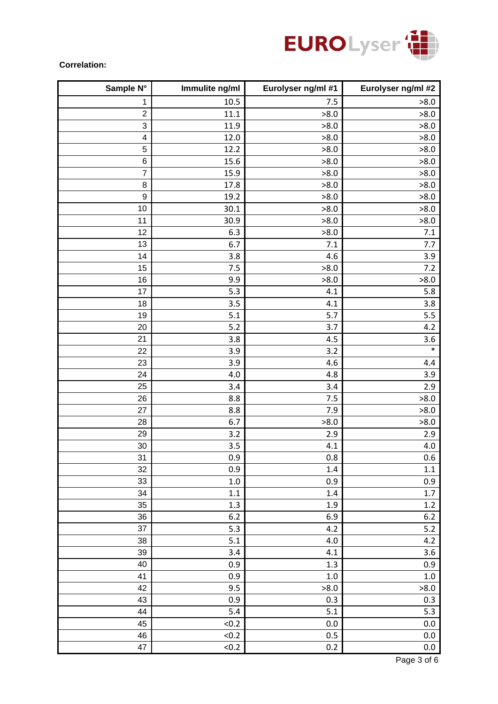

### **Correlation:**

| Sample N°               | Immulite ng/ml | Eurolyser ng/ml #1 | Eurolyser ng/ml #2 |
|-------------------------|----------------|--------------------|--------------------|
| 1                       | 10.5           | 7.5                | >8.0               |
| $\overline{c}$          | $11.1\,$       | >8.0               | >8.0               |
| 3                       | 11.9           | >8.0               | >8.0               |
| $\overline{\mathbf{4}}$ | 12.0           | >8.0               | >8.0               |
| $\sqrt{5}$              | 12.2           | >8.0               | >8.0               |
| $\,6$                   | 15.6           | >8.0               | >8.0               |
| $\overline{7}$          | 15.9           | >8.0               | >8.0               |
| $\,8\,$                 | 17.8           | >8.0               | >8.0               |
| 9                       | 19.2           | >8.0               | >8.0               |
| 10                      | 30.1           | >8.0               | >8.0               |
| 11                      | 30.9           | >8.0               | >8.0               |
| 12                      | 6.3            | >8.0               | 7.1                |
| 13                      | 6.7            | 7.1                | 7.7                |
| 14                      | 3.8            | 4.6                | 3.9                |
| 15                      | 7.5            | >8.0               | 7.2                |
| 16                      | 9.9            | >8.0               | >8.0               |
| 17                      | 5.3            | 4.1                | 5.8                |
| 18                      | 3.5            | 4.1                | 3.8                |
| 19                      | 5.1            | 5.7                | 5.5                |
| 20                      | 5.2            | 3.7                | 4.2                |
| 21                      | 3.8            | 4.5                | 3.6                |
| 22                      | 3.9            | 3.2                | $\ast$             |
| 23                      | 3.9            | 4.6                | 4.4                |
| 24                      | 4.0            | 4.8                | 3.9                |
| 25                      | 3.4            | 3.4                | 2.9                |
| 26                      | 8.8            | 7.5                | >8.0               |
| 27                      | 8.8            | 7.9                | >8.0               |
| 28                      | 6.7            | >8.0               | >8.0               |
| 29                      | 3.2            | 2.9                | 2.9                |
| 30                      | 3.5            | 4.1                | 4.0                |
| 31                      | 0.9            | 0.8                | 0.6                |
| 32                      | 0.9            | 1.4                | 1.1                |
| 33                      | $1.0\,$        | 0.9                | 0.9                |
| 34                      | $1.1\,$        | $1.4\,$            | $1.7\,$            |
| 35                      | 1.3            | $1.9\,$            | $1.2\,$            |
| 36                      | 6.2            | 6.9                | $6.2\,$            |
| 37                      | 5.3            | 4.2                | $5.2$              |
| 38                      | 5.1            | 4.0                | 4.2                |
| 39                      | 3.4            | 4.1                | 3.6                |
| 40                      | 0.9            | 1.3                | 0.9                |
| 41                      | 0.9            | $1.0\,$            | $1.0\,$            |
| 42                      | 9.5            | >8.0               | >8.0               |
| 43                      | 0.9            | 0.3                | 0.3                |
| 44                      | 5.4            | 5.1                | 5.3                |
| 45                      | < 0.2          | 0.0                | $0.0\,$            |
| 46                      | < 0.2          | 0.5                | $0.0\,$            |
| 47                      | < 0.2          | 0.2                | 0.0                |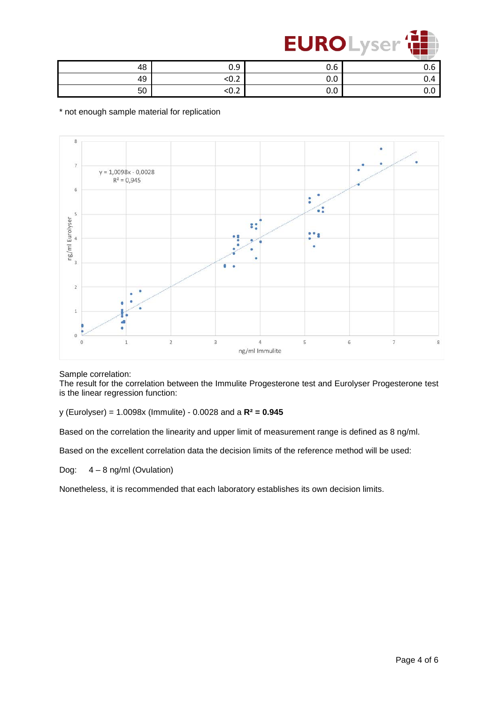

| 48 | n a<br>v.J     | 0.6               | v.v |
|----|----------------|-------------------|-----|
| 49 | $\sim$<br>NU.∠ | $\sqrt{2}$<br>v.v | U.4 |
| 50 | $\sim$<br>∖∪.∠ | $\sim$<br>v.v     | v.v |

\* not enough sample material for replication



#### Sample correlation:

The result for the correlation between the Immulite Progesterone test and Eurolyser Progesterone test is the linear regression function:

y (Eurolyser) = 1.0098x (Immulite) - 0.0028 and a **R² = 0.945**

Based on the correlation the linearity and upper limit of measurement range is defined as 8 ng/ml.

Based on the excellent correlation data the decision limits of the reference method will be used:

Dog: 4 – 8 ng/ml (Ovulation)

Nonetheless, it is recommended that each laboratory establishes its own decision limits.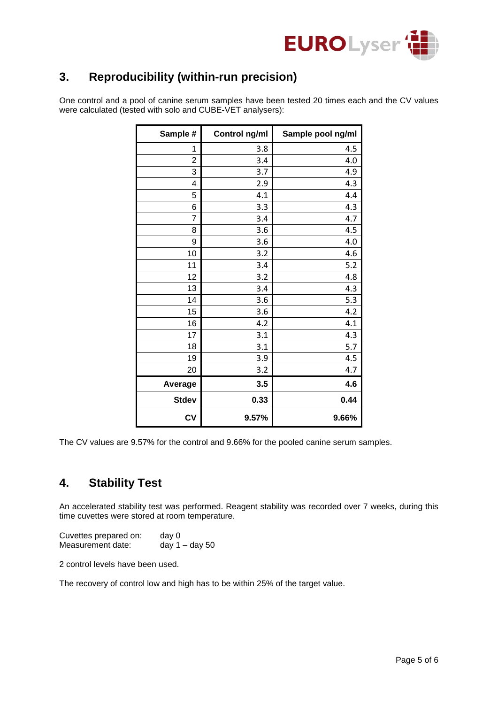

## **3. Reproducibility (within-run precision)**

One control and a pool of canine serum samples have been tested 20 times each and the CV values were calculated (tested with solo and CUBE-VET analysers):

| Sample #       | Control ng/ml | Sample pool ng/ml |
|----------------|---------------|-------------------|
| 1              | 3.8           | 4.5               |
| $\overline{2}$ | 3.4           | 4.0               |
| 3              | 3.7           | 4.9               |
| 4              | 2.9           | 4.3               |
| 5              | 4.1           | 4.4               |
| 6              | 3.3           | 4.3               |
| $\overline{7}$ | 3.4           | 4.7               |
| 8              | 3.6           | 4.5               |
| 9              | 3.6           | 4.0               |
| 10             | 3.2           | 4.6               |
| 11             | 3.4           | 5.2               |
| 12             | 3.2           | 4.8               |
| 13             | 3.4           | 4.3               |
| 14             | 3.6           | 5.3               |
| 15             | 3.6           | 4.2               |
| 16             | 4.2           | 4.1               |
| 17             | 3.1           | 4.3               |
| 18             | 3.1           | 5.7               |
| 19             | 3.9           | 4.5               |
| 20             | 3.2           | 4.7               |
| Average        | 3.5           | 4.6               |
| <b>Stdev</b>   | 0.33          | 0.44              |
| CV             | 9.57%         | 9.66%             |

The CV values are 9.57% for the control and 9.66% for the pooled canine serum samples.

## **4. Stability Test**

An accelerated stability test was performed. Reagent stability was recorded over 7 weeks, during this time cuvettes were stored at room temperature.

Cuvettes prepared on: day 0<br>Measurement date: day 1 – day 50 Measurement date:

2 control levels have been used.

The recovery of control low and high has to be within 25% of the target value.